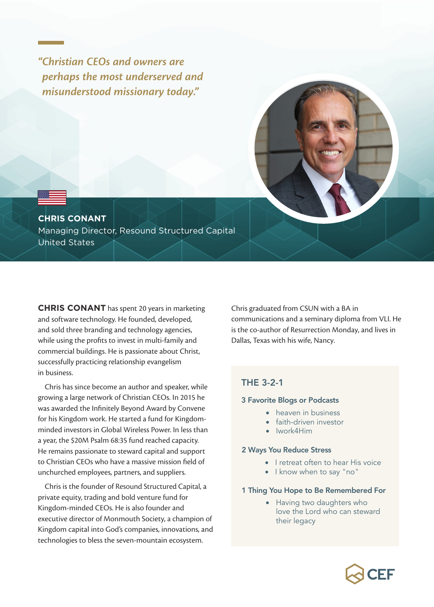*"Christian CEOs and owners are perhaps the most underserved and misunderstood missionary today."*



**CHRIS CONANT** Managing Director, Resound Structured Capital United States

**CHRIS CONANT** has spent 20 years in marketing and software technology. He founded, developed, and sold three branding and technology agencies, while using the profits to invest in multi-family and commercial buildings. He is passionate about Christ, successfully practicing relationship evangelism in business.

Chris has since become an author and speaker, while growing a large network of Christian CEOs. In 2015 he was awarded the Infinitely Beyond Award by Convene for his Kingdom work. He started a fund for Kingdomminded investors in Global Wireless Power. In less than a year, the \$20M Psalm 68:35 fund reached capacity. He remains passionate to steward capital and support to Christian CEOs who have a massive mission field of unchurched employees, partners, and suppliers.

Chris is the founder of Resound Structured Capital, a private equity, trading and bold venture fund for Kingdom-minded CEOs. He is also founder and executive director of Monmouth Society, a champion of Kingdom capital into God's companies, innovations, and technologies to bless the seven-mountain ecosystem.

Chris graduated from CSUN with a BA in communications and a seminary diploma from VLI. He is the co-author of Resurrection Monday, and lives in Dallas, Texas with his wife, Nancy.

### THE 3-2-1

#### 3 Favorite Blogs or Podcasts

- heaven in business
- faith-driven investor
- Iwork4Him

### 2 Ways You Reduce Stress

- I retreat often to hear His voice
- I know when to say "no"

### 1 Thing You Hope to Be Remembered For

• Having two daughters who love the Lord who can steward their legacy

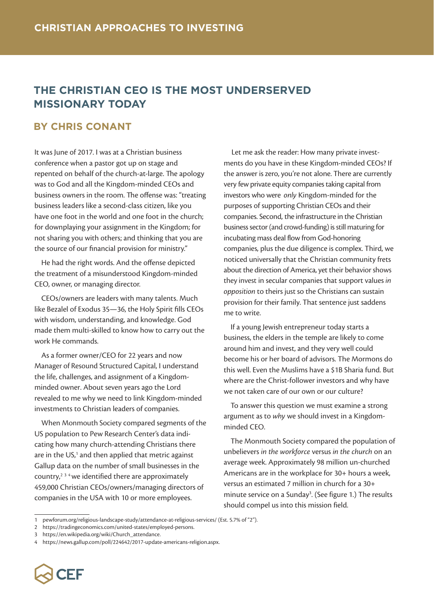## **THE CHRISTIAN CEO IS THE MOST UNDERSERVED MISSIONARY TODAY**

### **BY CHRIS CONANT**

It was June of 2017. I was at a Christian business conference when a pastor got up on stage and repented on behalf of the church-at-large. The apology was to God and all the Kingdom-minded CEOs and business owners in the room. The offense was: "treating business leaders like a second-class citizen, like you have one foot in the world and one foot in the church; for downplaying your assignment in the Kingdom; for not sharing you with others; and thinking that you are the source of our financial provision for ministry."

He had the right words. And the offense depicted the treatment of a misunderstood Kingdom-minded CEO, owner, or managing director.

CEOs/owners are leaders with many talents. Much like Bezalel of Exodus 35—36, the Holy Spirit fills CEOs with wisdom, understanding, and knowledge. God made them multi-skilled to know how to carry out the work He commands.

As a former owner/CEO for 22 years and now Manager of Resound Structured Capital, I understand the life, challenges, and assignment of a Kingdomminded owner. About seven years ago the Lord revealed to me why we need to link Kingdom-minded investments to Christian leaders of companies.

When Monmouth Society compared segments of the US population to Pew Research Center's data indicating how many church-attending Christians there are in the US,<sup>1</sup> and then applied that metric against Gallup data on the number of small businesses in the country,<sup>234</sup> we identified there are approximately 459,000 Christian CEOs/owners/managing directors of companies in the USA with 10 or more employees.

 Let me ask the reader: How many private investments do you have in these Kingdom-minded CEOs? If the answer is zero, you're not alone. There are currently very few private equity companies taking capital from investors who were *only* Kingdom-minded for the purposes of supporting Christian CEOs and their companies. Second, the infrastructure in the Christian business sector (and crowd-funding) is still maturing for incubating mass deal flow from God-honoring companies, plus the due diligence is complex. Third, we noticed universally that the Christian community frets about the direction of America, yet their behavior shows they invest in secular companies that support values *in opposition* to theirs just so the Christians can sustain provision for their family. That sentence just saddens me to write.

If a young Jewish entrepreneur today starts a business, the elders in the temple are likely to come around him and invest, and they very well could become his or her board of advisors. The Mormons do this well. Even the Muslims have a \$1B Sharia fund. But where are the Christ-follower investors and why have we not taken care of our own or our culture?

To answer this question we must examine a strong argument as to *why* we should invest in a Kingdomminded CEO.

The Monmouth Society compared the population of unbelievers *in the workforce* versus *in the church* on an average week. Approximately 98 million un-churched Americans are in the workplace for 30+ hours a week, versus an estimated 7 million in church for a 30+ minute service on a Sunday<sup>3</sup>. (See figure 1.) The results should compel us into this mission field.

<sup>4</sup> https://news.gallup.com/poll/224642/2017-update-americans-religion.aspx.



<sup>1</sup> pewforum.org/religious-landscape-study/attendance-at-religious-services/ (Est. 5.7% of "2").

<sup>2</sup> https://tradingeconomics.com/united-states/employed-persons.

<sup>3</sup> https://en.wikipedia.org/wiki/Church\_attendance.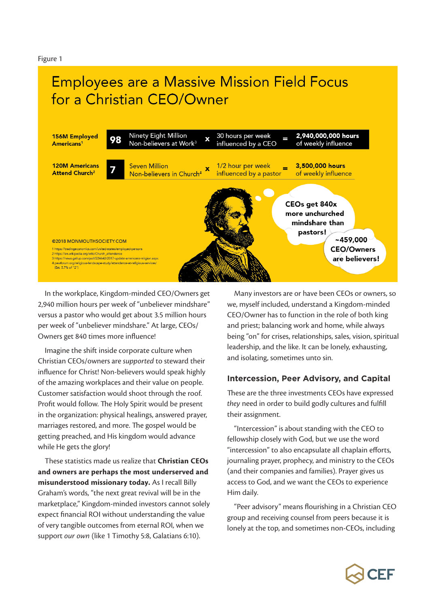Figure 1

# **Employees are a Massive Mission Field Focus** for a Christian CEO/Owner



In the workplace, Kingdom-minded CEO/Owners get 2,940 million hours per week of "unbeliever mindshare" versus a pastor who would get about 3.5 million hours per week of "unbeliever mindshare." At large, CEOs/ Owners get 840 times more influence!

Imagine the shift inside corporate culture when Christian CEOs/owners are *supported* to steward their influence for Christ! Non-believers would speak highly of the amazing workplaces and their value on people. Customer satisfaction would shoot through the roof. Profit would follow. The Holy Spirit would be present in the organization: physical healings, answered prayer, marriages restored, and more. The gospel would be getting preached, and His kingdom would advance while He gets the glory!

These statistics made us realize that **Christian CEOs and owners are perhaps the most underserved and misunderstood missionary today.** As I recall Billy Graham's words, "the next great revival will be in the marketplace," Kingdom-minded investors cannot solely expect financial ROI without understanding the value of very tangible outcomes from eternal ROI, when we support *our own* (like 1 Timothy 5:8, Galatians 6:10).

Many investors are or have been CEOs or owners, so we, myself included, understand a Kingdom-minded CEO/Owner has to function in the role of both king and priest; balancing work and home, while always being "on" for crises, relationships, sales, vision, spiritual leadership, and the like. It can be lonely, exhausting, and isolating, sometimes unto sin.

### **Intercession, Peer Advisory, and Capital**

These are the three investments CEOs have expressed *they* need in order to build godly cultures and fulfill their assignment.

"Intercession" is about standing with the CEO to fellowship closely with God, but we use the word "intercession" to also encapsulate all chaplain efforts, journaling prayer, prophecy, and ministry to the CEOs (and their companies and families). Prayer gives us access to God, and we want the CEOs to experience Him daily.

"Peer advisory" means flourishing in a Christian CEO group and receiving counsel from peers because it is lonely at the top, and sometimes non-CEOs, including

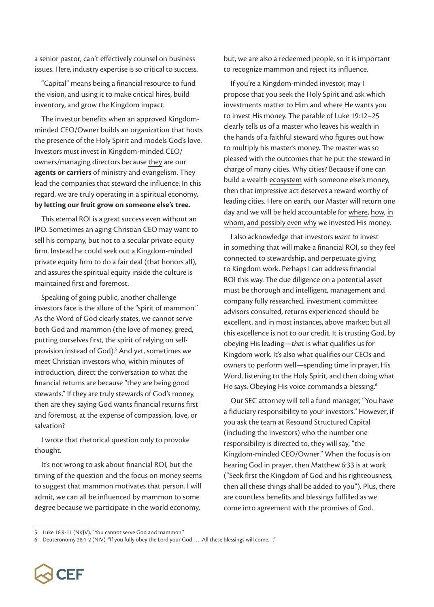a senior pastor, can't effectively counsel on business issues. Here, industry expertise is so critical to success.

"Capital" means being a financial resource to fund the vision, and using it to make critical hires, build inventory, and grow the Kingdom impact.

The investor benefits when an approved Kingdomminded CEO/Owner builds an organization that hosts the presence of the Holy Spirit and models God's love. Investors must invest in Kingdom-minded CEO/ owners/managing directors because they are our **agents or carriers** of ministry and evangelism. They lead the companies that steward the influence. In this regard, we are truly operating in a spiritual economy, **by letting our fruit grow on someone else's tree.**

This eternal ROI is a great success even without an IPO. Sometimes an aging Christian CEO may want to sell his company, but not to a secular private equity firm. Instead he could seek out a Kingdom-minded private equity firm to do a fair deal (that honors all), and assures the spiritual equity inside the culture is maintained first and foremost.

Speaking of going public, another challenge investors face is the allure of the "spirit of mammon." As the Word of God clearly states, we cannot serve both God and mammon (the love of money, greed, putting ourselves first, the spirit of relying on selfprovision instead of God).<sup>5</sup> And yet, sometimes we meet Christian investors who, within minutes of introduction, direct the conversation to what the financial returns are because "they are being good stewards." If they are truly stewards of God's money, then are they saying God wants financial returns first and foremost, at the expense of compassion, love, or salvation?

I wrote that rhetorical question only to provoke thought.

It's not wrong to ask about financial ROI, but the timing of the question and the focus on money seems to suggest that mammon motivates that person. I will admit, we can all be influenced by mammon to some degree because we participate in the world economy,

but, we are also a redeemed people, so it is important to recognize mammon and reject its influence.

If you're a Kingdom-minded investor, may I propose that you seek the Holy Spirit and ask which investments matter to Him and where He wants you to invest His money. The parable of Luke 19:12–25 clearly tells us of a master who leaves his wealth in the hands of a faithful steward who figures out how to multiply his master's money. The master was so pleased with the outcomes that he put the steward in charge of many cities. Why cities? Because if one can build a wealth ecosystem with someone else's money, then that impressive act deserves a reward worthy of leading cities. Here on earth, our Master will return one day and we will be held accountable for where, how, in whom, and possibly even why we invested His money.

I also acknowledge that investors *want to* invest in something that will make a financial ROI, so they feel connected to stewardship, and perpetuate giving to Kingdom work. Perhaps I can address financial ROI this way. The due diligence on a potential asset must be thorough and intelligent, management and company fully researched, investment committee advisors consulted, returns experienced should be excellent, and in most instances, above market; but all this excellence is not to our credit. It is trusting God, by obeying His leading—*that* is what qualifies us for Kingdom work. It's also what qualifies our CEOs and owners to perform well—spending time in prayer, His Word, listening to the Holy Spirit, and then doing what He says. Obeying His voice commands a blessing.<sup>6</sup>

Our SEC attorney will tell a fund manager, "You have a fiduciary responsibility to your investors." However, if you ask the team at Resound Structured Capital (including the investors) who the number one responsibility is directed to, they will say, "the Kingdom-minded CEO/Owner." When the focus is on hearing God in prayer, then Matthew 6:33 is at work ("Seek first the Kingdom of God and his righteousness, then all these things shall be added to you"). Plus, there are countless benefits and blessings fulfilled as we come into agreement with the promises of God.

<sup>6</sup> Deuteronomy 28:1-2 (NIV), "If you fully obey the Lord your God . . . All these blessings will come. . ."



<sup>5</sup> Luke 16:9-11 (NKJV), "You cannot serve God and mammon."